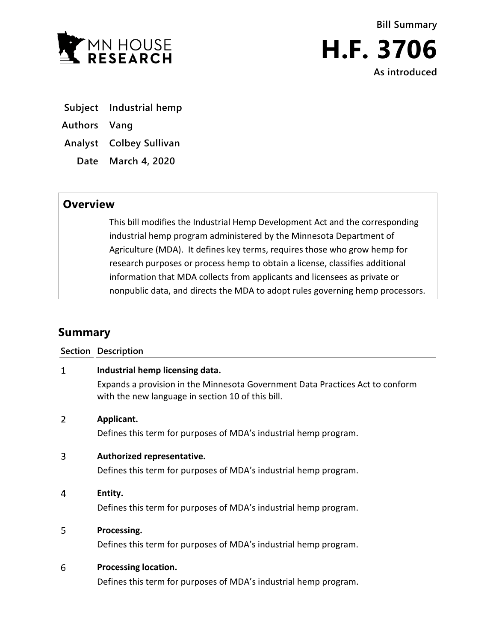



- **Subject Industrial hemp**
- **Authors Vang**
- **Analyst Colbey Sullivan**
	- **Date March 4, 2020**

## **Overview**

This bill modifies the Industrial Hemp Development Act and the corresponding industrial hemp program administered by the Minnesota Department of Agriculture (MDA). It defines key terms, requires those who grow hemp for research purposes or process hemp to obtain a license, classifies additional information that MDA collects from applicants and licensees as private or nonpublic data, and directs the MDA to adopt rules governing hemp processors.

# **Summary**

|                | Section Description                                                                                                                                                   |
|----------------|-----------------------------------------------------------------------------------------------------------------------------------------------------------------------|
| 1              | Industrial hemp licensing data.<br>Expands a provision in the Minnesota Government Data Practices Act to conform<br>with the new language in section 10 of this bill. |
| $\overline{2}$ | Applicant.<br>Defines this term for purposes of MDA's industrial hemp program.                                                                                        |
| 3              | Authorized representative.<br>Defines this term for purposes of MDA's industrial hemp program.                                                                        |
| 4              | Entity.<br>Defines this term for purposes of MDA's industrial hemp program.                                                                                           |
| 5              | Processing.<br>Defines this term for purposes of MDA's industrial hemp program.                                                                                       |
| 6              | <b>Processing location.</b><br>Defines this term for purposes of MDA's industrial hemp program.                                                                       |